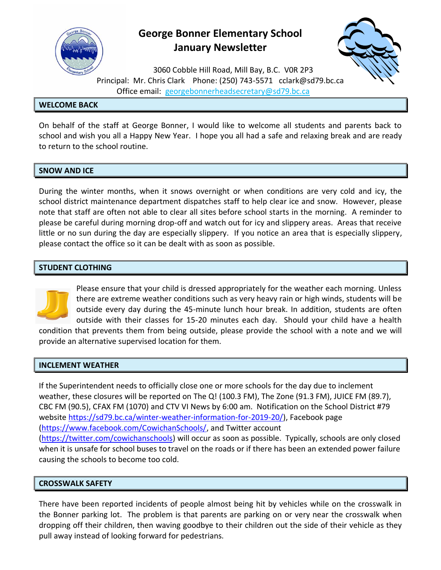

## **George Bonner Elementary School January Newsletter**



3060 Cobble Hill Road, Mill Bay, B.C. V0R 2P3 Principal: Mr. Chris Clark Phone: (250) 743-5571 [cclark@sd79.bc.ca](mailto:cclark@sd79.bc.ca) Office email: [georgebonnerheadsecretary@sd79.bc.ca](mailto:georgebonnerheadsecretary@sd79.bc.ca)

## **WELCOME BACK**

On behalf of the staff at George Bonner, I would like to welcome all students and parents back to school and wish you all a Happy New Year. I hope you all had a safe and relaxing break and are ready to return to the school routine.

## **SNOW AND ICE**

During the winter months, when it snows overnight or when conditions are very cold and icy, the school district maintenance department dispatches staff to help clear ice and snow. However, please note that staff are often not able to clear all sites before school starts in the morning. A reminder to please be careful during morning drop-off and watch out for icy and slippery areas. Areas that receive little or no sun during the day are especially slippery. If you notice an area that is especially slippery, please contact the office so it can be dealt with as soon as possible.

## **STUDENT CLOTHING**



Please ensure that your child is dressed appropriately for the weather each morning. Unless there are extreme weather conditions such as very heavy rain or high winds, students will be outside every day during the 45-minute lunch hour break. In addition, students are often outside with their classes for 15-20 minutes each day. Should your child have a health

condition that prevents them from being outside, please provide the school with a note and we will provide an alternative supervised location for them.

## **INCLEMENT WEATHER**

If the Superintendent needs to officially close one or more schools for the day due to inclement weather, these closures will be reported on The Q! (100.3 FM), The Zone (91.3 FM), JUICE FM (89.7), CBC FM (90.5), CFAX FM (1070) and CTV VI News by 6:00 am. Notification on the School District #79 website [https://sd79.bc.ca/winter-weather-information-for-2019-20/\)](https://sd79.bc.ca/winter-weather-information-for-2019-20/), Facebook page [\(https://www.facebook.com/CowichanSchools/,](https://www.facebook.com/CowichanSchools/) and Twitter account [\(https://twitter.com/cowichanschools\)](https://twitter.com/cowichanschools) will occur as soon as possible. Typically, schools are only closed when it is unsafe for school buses to travel on the roads or if there has been an extended power failure causing the schools to become too cold.

## **CROSSWALK SAFETY**

There have been reported incidents of people almost being hit by vehicles while on the crosswalk in the Bonner parking lot. The problem is that parents are parking on or very near the crosswalk when dropping off their children, then waving goodbye to their children out the side of their vehicle as they pull away instead of looking forward for pedestrians.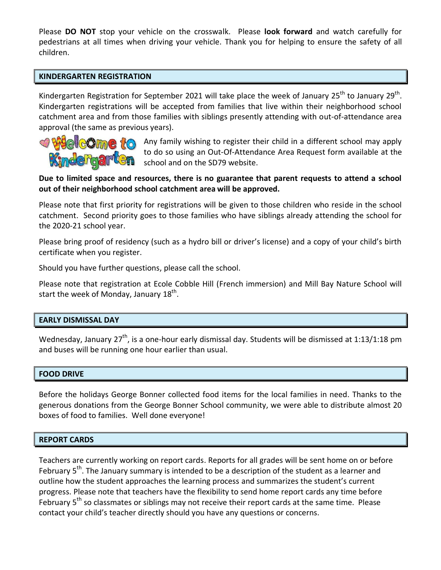Please **DO NOT** stop your vehicle on the crosswalk. Please **look forward** and watch carefully for pedestrians at all times when driving your vehicle. Thank you for helping to ensure the safety of all children.

#### **KINDERGARTEN REGISTRATION**

Kindergarten Registration for September 2021 will take place the week of January 25<sup>th</sup> to January 29<sup>th</sup>. Kindergarten registrations will be accepted from families that live within their neighborhood school catchment area and from those families with siblings presently attending with out-of-attendance area approval (the same as previous years).



Any family wishing to register their child in a different school may apply to do so using an Out-Of-Attendance Area Request form available at the school and on the SD79 website.

## **Due to limited space and resources, there is no guarantee that parent requests to attend a school out of their neighborhood school catchment area will be approved.**

Please note that first priority for registrations will be given to those children who reside in the school catchment. Second priority goes to those families who have siblings already attending the school for the 2020-21 school year.

Please bring proof of residency (such as a hydro bill or driver's license) and a copy of your child's birth certificate when you register.

Should you have further questions, please call the school.

Please note that registration at Ecole Cobble Hill (French immersion) and Mill Bay Nature School will start the week of Monday, January 18<sup>th</sup>.

## **EARLY DISMISSAL DAY**

Wednesday, January 27<sup>th</sup>, is a one-hour early dismissal day. Students will be dismissed at 1:13/1:18 pm and buses will be running one hour earlier than usual.

#### **FOOD DRIVE**

Before the holidays George Bonner collected food items for the local families in need. Thanks to the generous donations from the George Bonner School community, we were able to distribute almost 20 boxes of food to families. Well done everyone!

#### **REPORT CARDS**

Teachers are currently working on report cards. Reports for all grades will be sent home on or before February 5<sup>th</sup>. The January summary is intended to be a description of the student as a learner and outline how the student approaches the learning process and summarizes the student's current progress. Please note that teachers have the flexibility to send home report cards any time before February 5<sup>th</sup> so classmates or siblings may not receive their report cards at the same time. Please contact your child's teacher directly should you have any questions or concerns.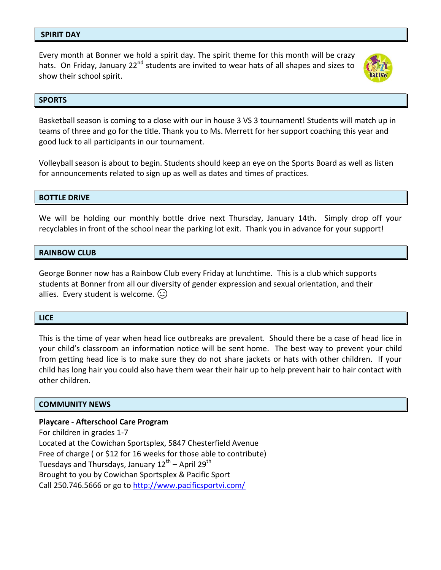#### **SPIRIT DAY**

Every month at Bonner we hold a spirit day. The spirit theme for this month will be crazy hats. On Friday, January 22<sup>nd</sup> students are invited to wear hats of all shapes and sizes to show their school spirit.



#### **SPORTS**

Basketball season is coming to a close with our in house 3 VS 3 tournament! Students will match up in teams of three and go for the title. Thank you to Ms. Merrett for her support coaching this year and good luck to all participants in our tournament.

Volleyball season is about to begin. Students should keep an eye on the Sports Board as well as listen for announcements related to sign up as well as dates and times of practices.

#### **BOTTLE DRIVE**

We will be holding our monthly bottle drive next Thursday, January 14th. Simply drop off your recyclables in front of the school near the parking lot exit. Thank you in advance for your support!

#### **RAINBOW CLUB**

George Bonner now has a Rainbow Club every Friday at lunchtime. This is a club which supports students at Bonner from all our diversity of gender expression and sexual orientation, and their allies. Every student is welcome.  $(\cup)$ 

#### **LICE**

This is the time of year when head lice outbreaks are prevalent. Should there be a case of head lice in your child's classroom an information notice will be sent home. The best way to prevent your child from getting head lice is to make sure they do not share jackets or hats with other children. If your child has long hair you could also have them wear their hair up to help prevent hair to hair contact with other children.

#### **COMMUNITY NEWS**

#### **Playcare - Afterschool Care Program**

For children in grades 1-7 Located at the Cowichan Sportsplex, 5847 Chesterfield Avenue Free of charge ( or \$12 for 16 weeks for those able to contribute) Tuesdays and Thursdays, January 12<sup>th</sup> – April 29<sup>th</sup> Brought to you by Cowichan Sportsplex & Pacific Sport Call 250.746.5666 or go to<http://www.pacificsportvi.com/>